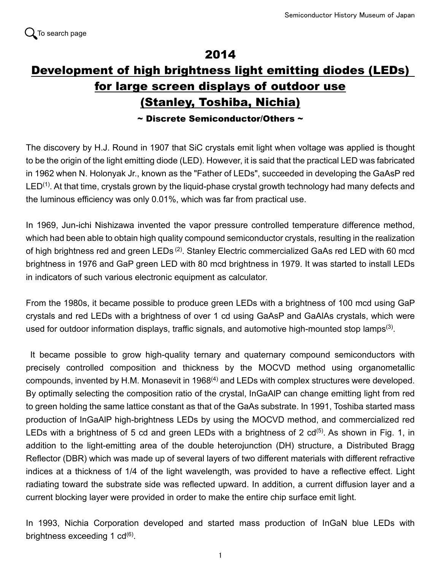## 2014

## Development of high brightness light emitting diodes (LEDs) for large screen displays of outdoor use (Stanley, Toshiba, Nichia)

 $\sim$  Discrete Semiconductor/Others  $\sim$ 

The discovery by H.J. Round in 1907 that SiC crystals emit light when voltage was applied is thought to be the origin of the light emitting diode (LED). However, it is said that the practical LED was fabricated in 1962 when N. Holonyak Jr., known as the "Father of LEDs", succeeded in developing the GaAsP red  $LED<sup>(1)</sup>$ . At that time, crystals grown by the liquid-phase crystal growth technology had many defects and the luminous efficiency was only 0.01%, which was far from practical use.

In 1969, Jun-ichi Nishizawa invented the vapor pressure controlled temperature difference method, which had been able to obtain high quality compound semiconductor crystals, resulting in the realization of high brightness red and green LEDs<sup>(2)</sup>. Stanley Electric commercialized GaAs red LED with 60 mcd brightness in 1976 and GaP green LED with 80 mcd brightness in 1979. It was started to install LEDs in indicators of such various electronic equipment as calculator.

From the 1980s, it became possible to produce green LEDs with a brightness of 100 mcd using GaP crystals and red LEDs with a brightness of over 1 cd using GaAsP and GaAlAs crystals, which were used for outdoor information displays, traffic signals, and automotive high-mounted stop lamps<sup>(3)</sup>.

It became possible to grow high-quality ternary and quaternary compound semiconductors with precisely controlled composition and thickness by the MOCVD method using organometallic compounds, invented by H.M. Monasevit in  $1968<sup>(4)</sup>$  and LEDs with complex structures were developed. By optimally selecting the composition ratio of the crystal, InGaAlP can change emitting light from red to green holding the same lattice constant as that of the GaAs substrate. In 1991, Toshiba started mass production of InGaAlP high-brightness LEDs by using the MOCVD method, and commercialized red LEDs with a brightness of 5 cd and green LEDs with a brightness of 2  $cd^{(5)}$ . As shown in Fig. 1, in addition to the light-emitting area of the double heterojunction (DH) structure, a Distributed Bragg Reflector (DBR) which was made up of several layers of two different materials with different refractive indices at a thickness of 1/4 of the light wavelength, was provided to have a reflective effect. Light radiating toward the substrate side was reflected upward. In addition, a current diffusion layer and a current blocking layer were provided in order to make the entire chip surface emit light.

In 1993, Nichia Corporation developed and started mass production of InGaN blue LEDs with brightness exceeding 1 cd $^{(6)}$ .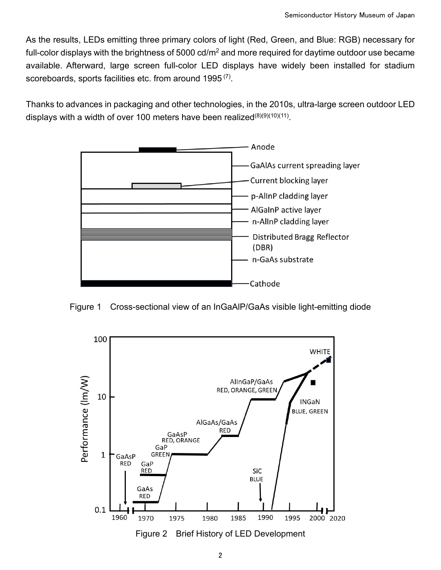As the results, LEDs emitting three primary colors of light (Red, Green, and Blue: RGB) necessary for full-color displays with the brightness of 5000 cd/ $m^2$  and more required for daytime outdoor use became available. Afterward, large screen full-color LED displays have widely been installed for stadium scoreboards, sports facilities etc. from around 1995<sup>(7)</sup>.

Thanks to advances in packaging and other technologies, in the 2010s, ultra-large screen outdoor LED displays with a width of over 100 meters have been realized $(8)(9)(10)(11)$ .



Figure 1 Cross-sectional view of an InGaAlP/GaAs visible light-emitting diode



Figure 2 Brief History of LED Development